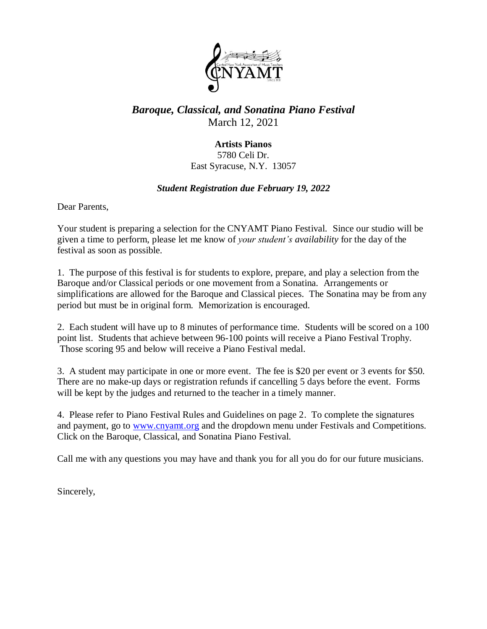

### *Baroque, Classical, and Sonatina Piano Festival* March 12, 2021

#### **Artists Pianos** 5780 Celi Dr. East Syracuse, N.Y. 13057

#### *Student Registration due February 19, 2022*

Dear Parents,

Your student is preparing a selection for the CNYAMT Piano Festival. Since our studio will be given a time to perform, please let me know of *your student's availability* for the day of the festival as soon as possible.

1. The purpose of this festival is for students to explore, prepare, and play a selection from the Baroque and/or Classical periods or one movement from a Sonatina. Arrangements or simplifications are allowed for the Baroque and Classical pieces. The Sonatina may be from any period but must be in original form. Memorization is encouraged.

2. Each student will have up to 8 minutes of performance time. Students will be scored on a 100 point list. Students that achieve between 96-100 points will receive a Piano Festival Trophy. Those scoring 95 and below will receive a Piano Festival medal.

3. A student may participate in one or more event. The fee is \$20 per event or 3 events for \$50. There are no make-up days or registration refunds if cancelling 5 days before the event. Forms will be kept by the judges and returned to the teacher in a timely manner.

4. Please refer to Piano Festival Rules and Guidelines on page 2. To complete the signatures and payment, go to [www.cnyamt.org](http://www.cnyamt.org/) and the dropdown menu under Festivals and Competitions. Click on the Baroque, Classical, and Sonatina Piano Festival.

Call me with any questions you may have and thank you for all you do for our future musicians.

Sincerely,